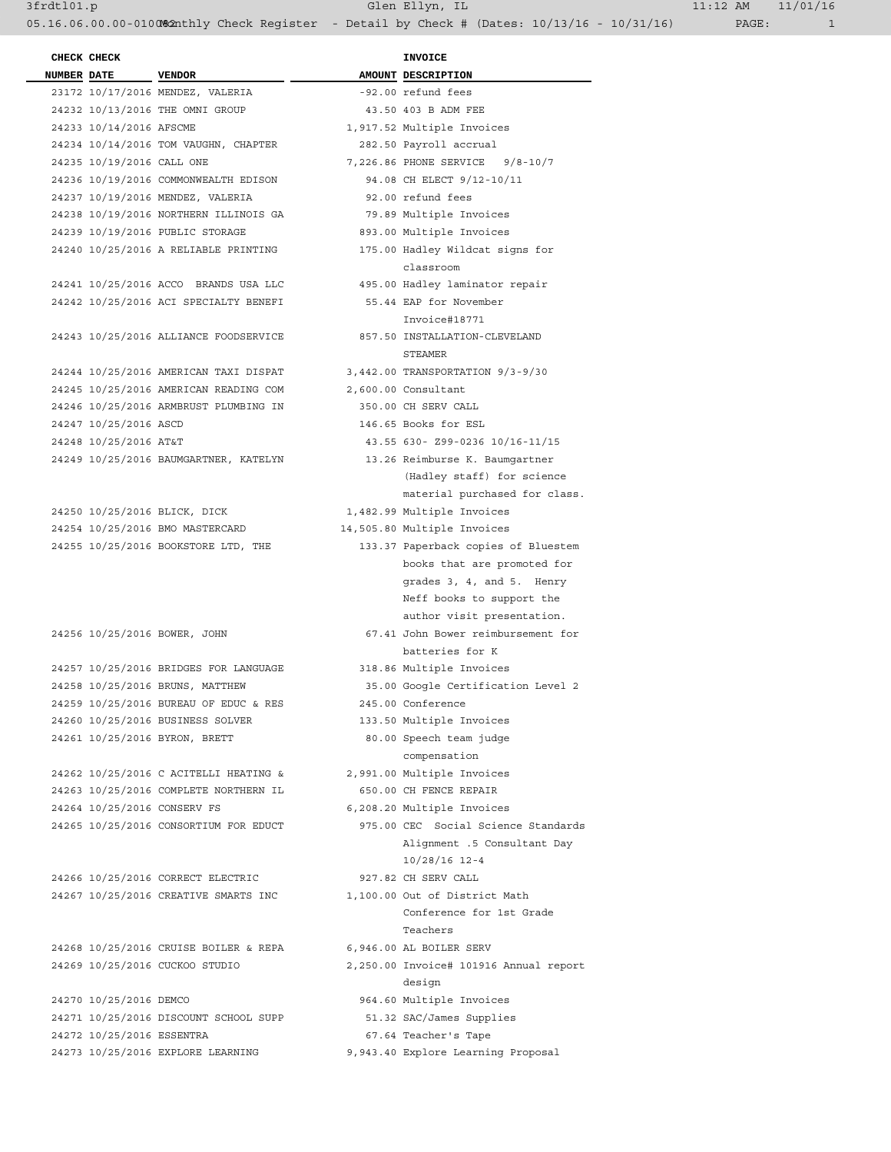3frdtl01.p Glen Ellyn, IL 11:12 AM 11/01/16 05.16.06.00.00-010082nthly Check Register - Detail by Check # (Dates: 10/13/16 - 10/31/16) PAGE: 1

**INVOICE** 

| CHECK CHECK                 |                                       | <b>INVOICE</b>                           |
|-----------------------------|---------------------------------------|------------------------------------------|
| <b>NUMBER DATE</b>          | <b>VENDOR</b>                         | AMOUNT DESCRIPTION                       |
|                             | 23172 10/17/2016 MENDEZ, VALERIA      | -92.00 refund fees                       |
|                             | 24232 10/13/2016 THE OMNI GROUP       | 43.50 403 B ADM FEE                      |
| 24233 10/14/2016 AFSCME     |                                       | 1,917.52 Multiple Invoices               |
|                             |                                       |                                          |
|                             | 24234 10/14/2016 TOM VAUGHN, CHAPTER  | 282.50 Payroll accrual                   |
| 24235 10/19/2016 CALL ONE   |                                       | 7,226.86 PHONE SERVICE 9/8-10/7          |
|                             | 24236 10/19/2016 COMMONWEALTH EDISON  | 94.08 CH ELECT 9/12-10/11                |
|                             | 24237 10/19/2016 MENDEZ, VALERIA      | 92.00 refund fees                        |
|                             | 24238 10/19/2016 NORTHERN ILLINOIS GA | 79.89 Multiple Invoices                  |
|                             | 24239 10/19/2016 PUBLIC STORAGE       | 893.00 Multiple Invoices                 |
|                             | 24240 10/25/2016 A RELIABLE PRINTING  | 175.00 Hadley Wildcat signs for          |
|                             |                                       | classroom                                |
|                             | 24241 10/25/2016 ACCO BRANDS USA LLC  | 495.00 Hadley laminator repair           |
|                             | 24242 10/25/2016 ACI SPECIALTY BENEFI | 55.44 EAP for November                   |
|                             |                                       | Invoice#18771                            |
|                             | 24243 10/25/2016 ALLIANCE FOODSERVICE |                                          |
|                             |                                       | 857.50 INSTALLATION-CLEVELAND<br>STEAMER |
|                             | 24244 10/25/2016 AMERICAN TAXI DISPAT | 3,442.00 TRANSPORTATION 9/3-9/30         |
|                             | 24245 10/25/2016 AMERICAN READING COM | 2,600.00 Consultant                      |
|                             | 24246 10/25/2016 ARMBRUST PLUMBING IN | 350.00 CH SERV CALL                      |
| 24247 10/25/2016 ASCD       |                                       | 146.65 Books for ESL                     |
| 24248 10/25/2016 AT&T       |                                       | 43.55 630- Z99-0236 10/16-11/15          |
|                             |                                       |                                          |
|                             | 24249 10/25/2016 BAUMGARTNER, KATELYN | 13.26 Reimburse K. Baumqartner           |
|                             |                                       | (Hadley staff) for science               |
|                             |                                       | material purchased for class.            |
|                             | 24250 10/25/2016 BLICK, DICK          | 1,482.99 Multiple Invoices               |
|                             | 24254 10/25/2016 BMO MASTERCARD       | 14,505.80 Multiple Invoices              |
|                             | 24255 10/25/2016 BOOKSTORE LTD, THE   | 133.37 Paperback copies of Bluestem      |
|                             |                                       | books that are promoted for              |
|                             |                                       | grades 3, 4, and 5. Henry                |
|                             |                                       | Neff books to support the                |
|                             |                                       | author visit presentation.               |
|                             |                                       | 67.41 John Bower reimbursement for       |
|                             | 24256 10/25/2016 BOWER, JOHN          |                                          |
|                             |                                       | batteries for K                          |
|                             | 24257 10/25/2016 BRIDGES FOR LANGUAGE | 318.86 Multiple Invoices                 |
|                             | 24258 10/25/2016 BRUNS, MATTHEW       | 35.00 Google Certification Level 2       |
|                             | 24259 10/25/2016 BUREAU OF EDUC & RES | 245.00 Conference                        |
|                             | 24260 10/25/2016 BUSINESS SOLVER      | 133.50 Multiple Invoices                 |
|                             | 24261 10/25/2016 BYRON, BRETT         | 80.00 Speech team judge                  |
|                             |                                       | compensation                             |
|                             | 24262 10/25/2016 C ACITELLI HEATING & | 2,991.00 Multiple Invoices               |
|                             | 24263 10/25/2016 COMPLETE NORTHERN IL | 650.00 CH FENCE REPAIR                   |
| 24264 10/25/2016 CONSERV FS |                                       | 6,208.20 Multiple Invoices               |
|                             |                                       | 975.00 CEC Social Science Standards      |
|                             | 24265 10/25/2016 CONSORTIUM FOR EDUCT |                                          |
|                             |                                       | Alignment .5 Consultant Day              |
|                             |                                       | $10/28/16$ 12-4                          |
|                             | 24266 10/25/2016 CORRECT ELECTRIC     | 927.82 CH SERV CALL                      |
|                             | 24267 10/25/2016 CREATIVE SMARTS INC  | 1,100.00 Out of District Math            |
|                             |                                       | Conference for 1st Grade                 |
|                             |                                       | Teachers                                 |
|                             | 24268 10/25/2016 CRUISE BOILER & REPA | 6,946.00 AL BOILER SERV                  |
|                             | 24269 10/25/2016 CUCKOO STUDIO        | 2,250.00 Invoice# 101916 Annual report   |
|                             |                                       | design                                   |
| 24270 10/25/2016 DEMCO      |                                       | 964.60 Multiple Invoices                 |
|                             | 24271 10/25/2016 DISCOUNT SCHOOL SUPP | 51.32 SAC/James Supplies                 |
| 24272 10/25/2016 ESSENTRA   |                                       | 67.64 Teacher's Tape                     |
|                             | 24273 10/25/2016 EXPLORE LEARNING     | 9,943.40 Explore Learning Proposal       |
|                             |                                       |                                          |

| AMOUNT DESCRIPTION                                     |
|--------------------------------------------------------|
| -92.00 refund fees                                     |
| 43.50 403 B ADM FEE                                    |
| 1,917.52 Multiple Invoices                             |
| 282.50 Payroll accrual                                 |
| 7,226.86 PHONE SERVICE 9/8-10/7                        |
| 94.08 CH ELECT 9/12-10/11                              |
| 92.00 refund fees                                      |
| 79.89 Multiple Invoices                                |
| 893.00 Multiple Invoices                               |
| 175.00 Hadley Wildcat signs for                        |
| classroom                                              |
| 495.00 Hadley laminator repair                         |
| 55.44 EAP for November                                 |
| Invoice#18771                                          |
| 857.50 INSTALLATION-CLEVELAND                          |
| STEAMER                                                |
| 3,442.00 TRANSPORTATION 9/3-9/30                       |
| 2,600.00 Consultant                                    |
| 350.00 CH SERV CALL                                    |
| 146.65 Books for ESL                                   |
| 43.55 630- Z99-0236 10/16-11/15                        |
| 13.26 Reimburse K. Baumgartner                         |
| (Hadley staff) for science                             |
| material purchased for class.                          |
| 1,482.99 Multiple Invoices                             |
| 4,505.80 Multiple Invoices                             |
| 133.37 Paperback copies of Bluestem                    |
| books that are promoted for                            |
| grades 3, 4, and 5. Henry<br>Neff books to support the |
| author visit presentation.                             |
| 67.41 John Bower reimbursement for                     |
| batteries for K                                        |
| 318.86 Multiple Invoices                               |
| 35.00 Google Certification Level 2                     |
| 245.00 Conference                                      |
| 133.50 Multiple Invoices                               |
| 80.00 Speech team judge                                |
| compensation                                           |
| 2,991.00 Multiple Invoices                             |
| 650.00 CH FENCE REPAIR                                 |
| 6,208.20 Multiple Invoices                             |
| 975.00 CEC Social Science Standards                    |
| Alignment .5 Consultant Day                            |
| 10/28/16 12-4                                          |
| 927.82 CH SERV CALL                                    |
| 1,100.00 Out of District Math                          |
| Conference for 1st Grade                               |
| Teachers                                               |
| 6,946.00 AL BOILER SERV                                |
| 2,250.00 Invoice# 101916 Annual report                 |
| design                                                 |
| 964.60 Multiple Invoices                               |
| 51.32 SAC/James Supplies                               |
| 67.64 Teacher's Tape                                   |
| 9,943.40 Explore Learning Proposal                     |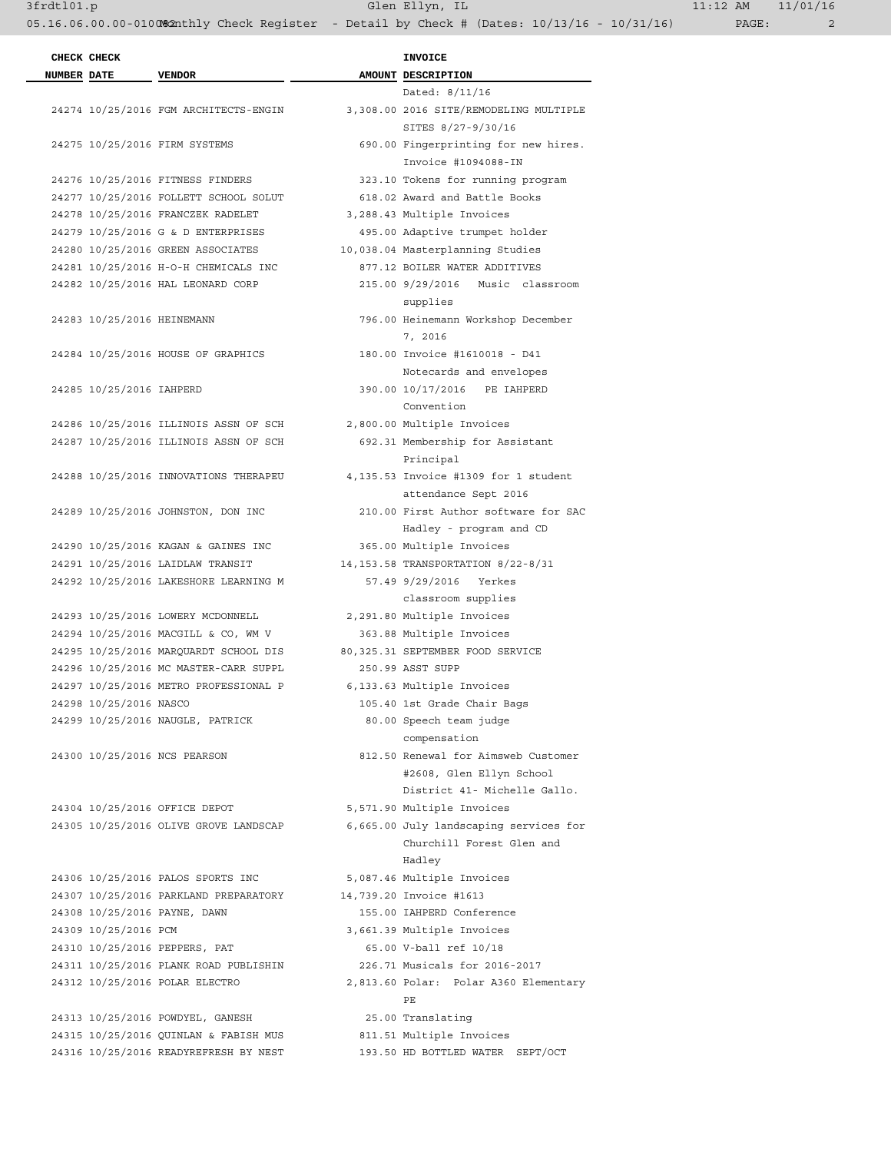|                    | CHECK CHECK                |                                       | <b>INVOICE</b>                         |
|--------------------|----------------------------|---------------------------------------|----------------------------------------|
| <b>NUMBER DATE</b> |                            | <b>VENDOR</b>                         | AMOUNT DESCRIPTION                     |
|                    |                            |                                       | Dated: 8/11/16                         |
|                    |                            | 24274 10/25/2016 FGM ARCHITECTS-ENGIN | 3,308.00 2016 SITE/REMODELING MULTIPLE |
|                    |                            |                                       | SITES 8/27-9/30/16                     |
|                    |                            | 24275 10/25/2016 FIRM SYSTEMS         | 690.00 Fingerprinting for new hires.   |
|                    |                            |                                       | Invoice #1094088-IN                    |
|                    |                            | 24276 10/25/2016 FITNESS FINDERS      | 323.10 Tokens for running program      |
|                    |                            | 24277 10/25/2016 FOLLETT SCHOOL SOLUT | 618.02 Award and Battle Books          |
|                    |                            | 24278 10/25/2016 FRANCZEK RADELET     | 3,288.43 Multiple Invoices             |
|                    |                            | 24279 10/25/2016 G & D ENTERPRISES    | 495.00 Adaptive trumpet holder         |
|                    |                            | 24280 10/25/2016 GREEN ASSOCIATES     | 10,038.04 Masterplanning Studies       |
|                    |                            | 24281 10/25/2016 H-O-H CHEMICALS INC  | 877.12 BOILER WATER ADDITIVES          |
|                    |                            | 24282 10/25/2016 HAL LEONARD CORP     | 215.00 9/29/2016 Music classroom       |
|                    |                            |                                       | supplies                               |
|                    | 24283 10/25/2016 HEINEMANN |                                       | 796.00 Heinemann Workshop December     |
|                    |                            |                                       | 7, 2016                                |
|                    |                            | 24284 10/25/2016 HOUSE OF GRAPHICS    | 180.00 Invoice #1610018 - D41          |
|                    |                            |                                       | Notecards and envelopes                |
|                    | 24285 10/25/2016 IAHPERD   |                                       | 390.00 10/17/2016 PE IAHPERD           |
|                    |                            |                                       | Convention                             |
|                    |                            | 24286 10/25/2016 ILLINOIS ASSN OF SCH | 2,800.00 Multiple Invoices             |
|                    |                            | 24287 10/25/2016 ILLINOIS ASSN OF SCH | 692.31 Membership for Assistant        |
|                    |                            |                                       | Principal                              |
|                    |                            | 24288 10/25/2016 INNOVATIONS THERAPEU | 4,135.53 Invoice #1309 for 1 student   |
|                    |                            |                                       | attendance Sept 2016                   |
|                    |                            | 24289 10/25/2016 JOHNSTON, DON INC    | 210.00 First Author software for SAC   |
|                    |                            |                                       | Hadley - program and CD                |
|                    |                            | 24290 10/25/2016 KAGAN & GAINES INC   | 365.00 Multiple Invoices               |
|                    |                            | 24291 10/25/2016 LAIDLAW TRANSIT      | 14, 153.58 TRANSPORTATION 8/22-8/31    |
|                    |                            | 24292 10/25/2016 LAKESHORE LEARNING M | 57.49 9/29/2016 Yerkes                 |
|                    |                            |                                       | classroom supplies                     |
|                    |                            | 24293 10/25/2016 LOWERY MCDONNELL     | 2,291.80 Multiple Invoices             |
|                    |                            | 24294 10/25/2016 MACGILL & CO, WM V   | 363.88 Multiple Invoices               |
|                    |                            | 24295 10/25/2016 MARQUARDT SCHOOL DIS | 80,325.31 SEPTEMBER FOOD SERVICE       |
|                    |                            | 24296 10/25/2016 MC MASTER-CARR SUPPL | 250.99 ASST SUPP                       |
|                    |                            | 24297 10/25/2016 METRO PROFESSIONAL P | 6,133.63 Multiple Invoices             |
|                    | 24298 10/25/2016 NASCO     |                                       | 105.40 1st Grade Chair Bags            |
|                    |                            | 24299 10/25/2016 NAUGLE, PATRICK      | 80.00 Speech team judge                |
|                    |                            |                                       | compensation                           |
|                    |                            | 24300 10/25/2016 NCS PEARSON          | 812.50 Renewal for Aimsweb Customer    |
|                    |                            |                                       | #2608, Glen Ellyn School               |
|                    |                            |                                       | District 41- Michelle Gallo.           |
|                    |                            | 24304 10/25/2016 OFFICE DEPOT         | 5,571.90 Multiple Invoices             |
|                    |                            | 24305 10/25/2016 OLIVE GROVE LANDSCAP | 6,665.00 July landscaping services for |
|                    |                            |                                       | Churchill Forest Glen and              |
|                    |                            |                                       | Hadley                                 |
|                    |                            | 24306 10/25/2016 PALOS SPORTS INC     | 5,087.46 Multiple Invoices             |
|                    |                            | 24307 10/25/2016 PARKLAND PREPARATORY | 14,739.20 Invoice #1613                |
|                    |                            | 24308 10/25/2016 PAYNE, DAWN          | 155.00 IAHPERD Conference              |
|                    | 24309 10/25/2016 PCM       |                                       | 3,661.39 Multiple Invoices             |
|                    |                            | 24310 10/25/2016 PEPPERS, PAT         | 65.00 V-ball ref 10/18                 |
|                    |                            | 24311 10/25/2016 PLANK ROAD PUBLISHIN | 226.71 Musicals for 2016-2017          |
|                    |                            | 24312 10/25/2016 POLAR ELECTRO        | 2,813.60 Polar: Polar A360 Elementary  |
|                    |                            |                                       | PE                                     |
|                    |                            | 24313 10/25/2016 POWDYEL, GANESH      | 25.00 Translating                      |
|                    |                            | 24315 10/25/2016 QUINLAN & FABISH MUS | 811.51 Multiple Invoices               |
|                    |                            | 24316 10/25/2016 READYREFRESH BY NEST | 193.50 HD BOTTLED WATER SEPT/OCT       |
|                    |                            |                                       |                                        |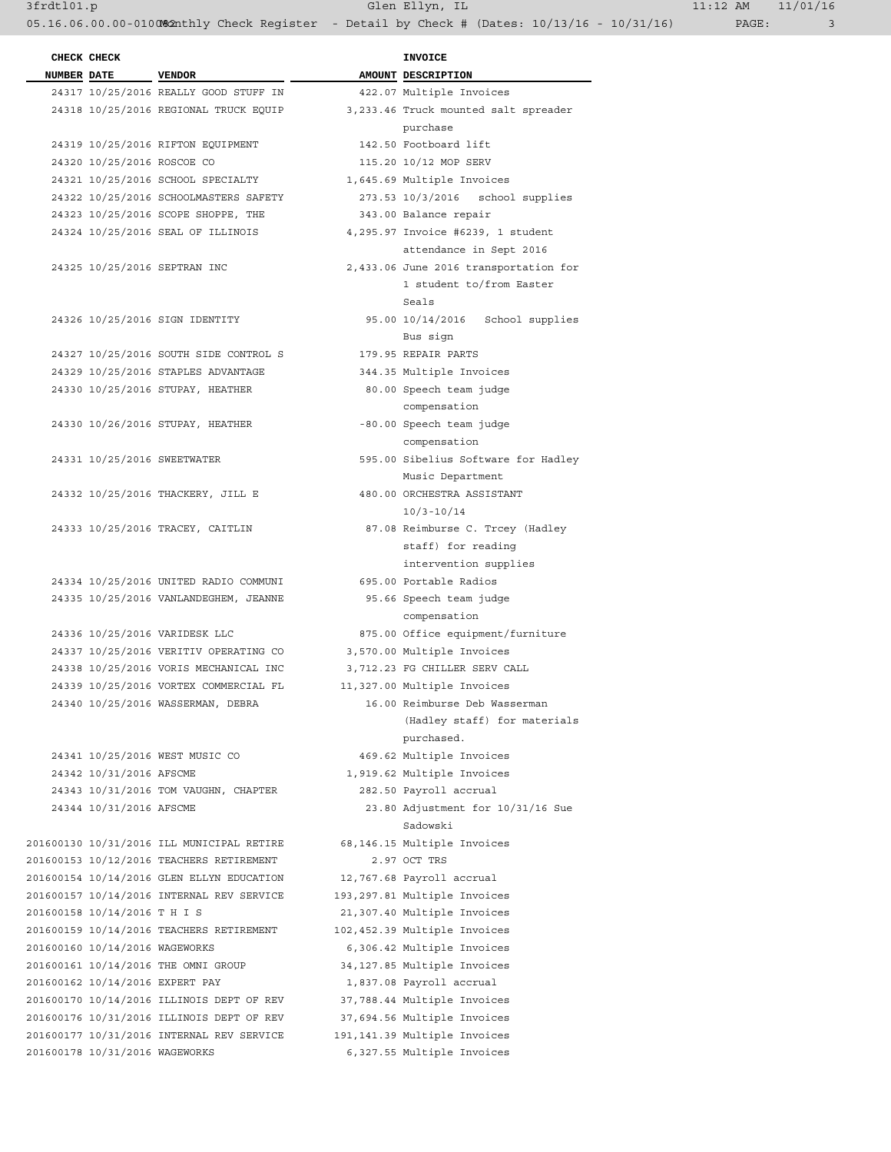3frdtl01.p Glen Ellyn, IL 11:12 AM 11/01/16 05.16.06.00.00-010082nthly Check Register - Detail by Check # (Dates: 10/13/16 - 10/31/16) PAGE: 3

| CHECK CHECK                     |                                           | <b>INVOICE</b>                        |  |
|---------------------------------|-------------------------------------------|---------------------------------------|--|
| NUMBER DATE VENDOR              |                                           | AMOUNT DESCRIPTION                    |  |
|                                 | 24317 10/25/2016 REALLY GOOD STUFF IN     | 422.07 Multiple Invoices              |  |
|                                 | 24318 10/25/2016 REGIONAL TRUCK EQUIP     | 3,233.46 Truck mounted salt spreader  |  |
|                                 |                                           | purchase                              |  |
|                                 | 24319 10/25/2016 RIFTON EQUIPMENT         | 142.50 Footboard lift                 |  |
| 24320 10/25/2016 ROSCOE CO      |                                           | 115.20 10/12 MOP SERV                 |  |
|                                 | 24321 10/25/2016 SCHOOL SPECIALTY         | 1,645.69 Multiple Invoices            |  |
|                                 | 24322 10/25/2016 SCHOOLMASTERS SAFETY     | 273.53 10/3/2016 school supplies      |  |
|                                 | 24323 10/25/2016 SCOPE SHOPPE, THE        | 343.00 Balance repair                 |  |
|                                 | 24324 10/25/2016 SEAL OF ILLINOIS         | 4,295.97 Invoice #6239, 1 student     |  |
|                                 |                                           | attendance in Sept 2016               |  |
|                                 | 24325 10/25/2016 SEPTRAN INC              | 2,433.06 June 2016 transportation for |  |
|                                 |                                           | 1 student to/from Easter              |  |
|                                 |                                           | Seals                                 |  |
|                                 | 24326 10/25/2016 SIGN IDENTITY            | 95.00 10/14/2016 School supplies      |  |
|                                 |                                           | Bus sign                              |  |
|                                 | 24327 10/25/2016 SOUTH SIDE CONTROL S     |                                       |  |
|                                 |                                           | 179.95 REPAIR PARTS                   |  |
|                                 | 24329 10/25/2016 STAPLES ADVANTAGE        | 344.35 Multiple Invoices              |  |
|                                 | 24330 10/25/2016 STUPAY, HEATHER          | 80.00 Speech team judge               |  |
|                                 |                                           | compensation                          |  |
|                                 | 24330 10/26/2016 STUPAY, HEATHER          | -80.00 Speech team judge              |  |
|                                 |                                           | compensation                          |  |
| 24331 10/25/2016 SWEETWATER     |                                           | 595.00 Sibelius Software for Hadley   |  |
|                                 |                                           | Music Department                      |  |
|                                 | 24332 10/25/2016 THACKERY, JILL E         | 480.00 ORCHESTRA ASSISTANT            |  |
|                                 |                                           | $10/3 - 10/14$                        |  |
|                                 | 24333 10/25/2016 TRACEY, CAITLIN          | 87.08 Reimburse C. Trcey (Hadley      |  |
|                                 |                                           | staff) for reading                    |  |
|                                 |                                           | intervention supplies                 |  |
|                                 | 24334 10/25/2016 UNITED RADIO COMMUNI     | 695.00 Portable Radios                |  |
|                                 | 24335 10/25/2016 VANLANDEGHEM, JEANNE     | 95.66 Speech team judge               |  |
|                                 |                                           | compensation                          |  |
|                                 | 24336 10/25/2016 VARIDESK LLC             | 875.00 Office equipment/furniture     |  |
|                                 | 24337 10/25/2016 VERITIV OPERATING CO     | 3,570.00 Multiple Invoices            |  |
|                                 | 24338 10/25/2016 VORIS MECHANICAL INC     | 3,712.23 FG CHILLER SERV CALL         |  |
|                                 | 24339 10/25/2016 VORTEX COMMERCIAL FL     | 11,327.00 Multiple Invoices           |  |
|                                 | 24340 10/25/2016 WASSERMAN, DEBRA         | 16.00 Reimburse Deb Wasserman         |  |
|                                 |                                           | (Hadley staff) for materials          |  |
|                                 |                                           | purchased.                            |  |
|                                 | 24341 10/25/2016 WEST MUSIC CO            | 469.62 Multiple Invoices              |  |
| 24342 10/31/2016 AFSCME         |                                           | 1,919.62 Multiple Invoices            |  |
|                                 | 24343 10/31/2016 TOM VAUGHN, CHAPTER      | 282.50 Payroll accrual                |  |
| 24344 10/31/2016 AFSCME         |                                           | 23.80 Adjustment for 10/31/16 Sue     |  |
|                                 |                                           | Sadowski                              |  |
|                                 | 201600130 10/31/2016 ILL MUNICIPAL RETIRE | 68,146.15 Multiple Invoices           |  |
|                                 | 201600153 10/12/2016 TEACHERS RETIREMENT  | 2.97 OCT TRS                          |  |
|                                 | 201600154 10/14/2016 GLEN ELLYN EDUCATION | 12,767.68 Payroll accrual             |  |
|                                 | 201600157 10/14/2016 INTERNAL REV SERVICE | 193,297.81 Multiple Invoices          |  |
| 201600158 10/14/2016 T H I S    |                                           | 21,307.40 Multiple Invoices           |  |
|                                 | 201600159 10/14/2016 TEACHERS RETIREMENT  | 102,452.39 Multiple Invoices          |  |
| 201600160 10/14/2016 WAGEWORKS  |                                           | 6,306.42 Multiple Invoices            |  |
|                                 | 201600161 10/14/2016 THE OMNI GROUP       | 34,127.85 Multiple Invoices           |  |
| 201600162 10/14/2016 EXPERT PAY |                                           | 1,837.08 Payroll accrual              |  |
|                                 | 201600170 10/14/2016 ILLINOIS DEPT OF REV | 37,788.44 Multiple Invoices           |  |
|                                 | 201600176 10/31/2016 ILLINOIS DEPT OF REV | 37,694.56 Multiple Invoices           |  |
|                                 |                                           |                                       |  |
|                                 | 201600177 10/31/2016 INTERNAL REV SERVICE | 191,141.39 Multiple Invoices          |  |
| 201600178 10/31/2016 WAGEWORKS  |                                           | 6,327.55 Multiple Invoices            |  |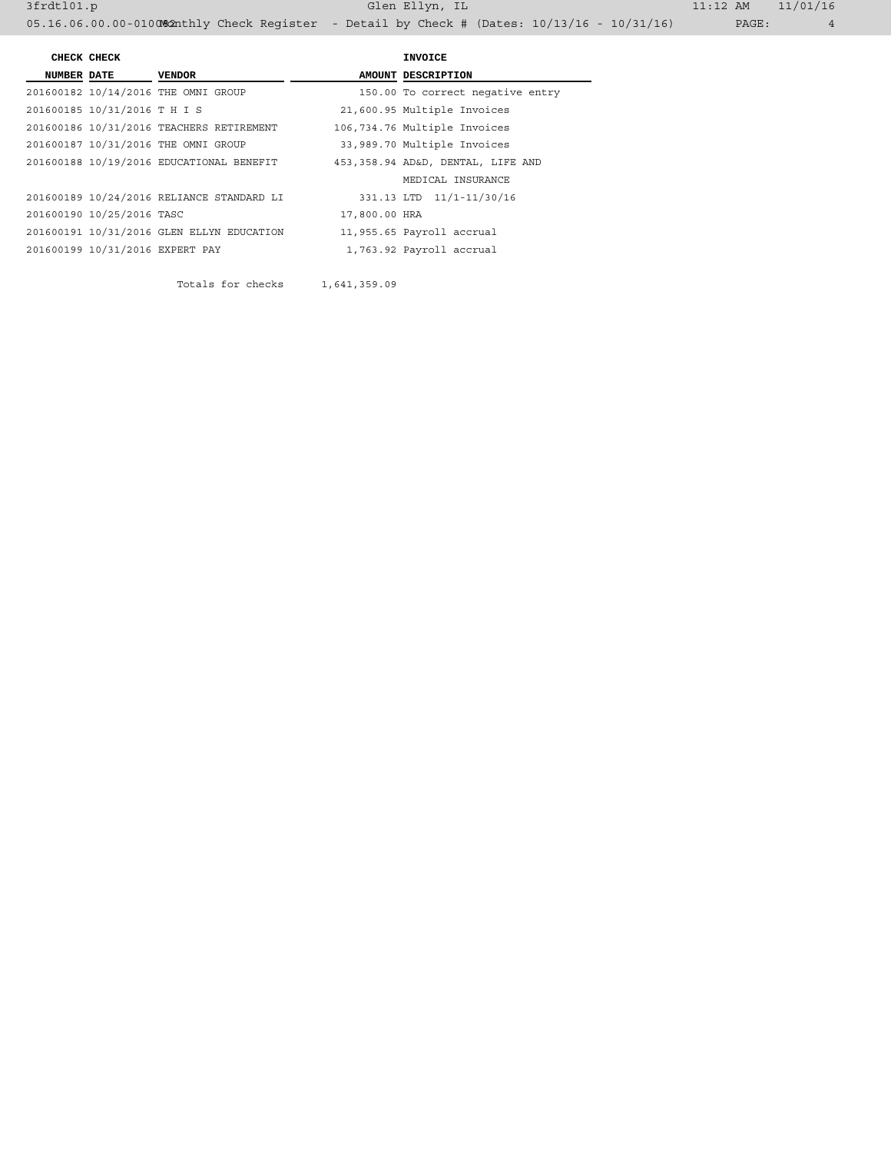|                    | CHECK CHECK                     |                                           |               | INVOICE                           |
|--------------------|---------------------------------|-------------------------------------------|---------------|-----------------------------------|
| <b>NUMBER DATE</b> | <b>VENDOR</b>                   |                                           |               | AMOUNT DESCRIPTION                |
|                    |                                 | 201600182 10/14/2016 THE OMNI GROUP       |               | 150.00 To correct negative entry  |
|                    | 201600185 10/31/2016 T H I S    |                                           |               | 21,600.95 Multiple Invoices       |
|                    |                                 | 201600186 10/31/2016 TEACHERS RETIREMENT  |               | 106,734.76 Multiple Invoices      |
|                    |                                 | 201600187 10/31/2016 THE OMNI GROUP       |               | 33,989.70 Multiple Invoices       |
|                    |                                 | 201600188 10/19/2016 EDUCATIONAL BENEFIT  |               | 453,358.94 AD&D, DENTAL, LIFE AND |
|                    |                                 |                                           |               | MEDICAL INSURANCE                 |
|                    |                                 | 201600189 10/24/2016 RELIANCE STANDARD LI |               | 331.13 LTD 11/1-11/30/16          |
|                    | 201600190 10/25/2016 TASC       |                                           | 17,800.00 HRA |                                   |
|                    |                                 | 201600191 10/31/2016 GLEN ELLYN EDUCATION |               | 11,955.65 Payroll accrual         |
|                    | 201600199 10/31/2016 EXPERT PAY |                                           |               | 1,763.92 Payroll accrual          |
|                    |                                 |                                           |               |                                   |

Totals for checks 1,641,359.09